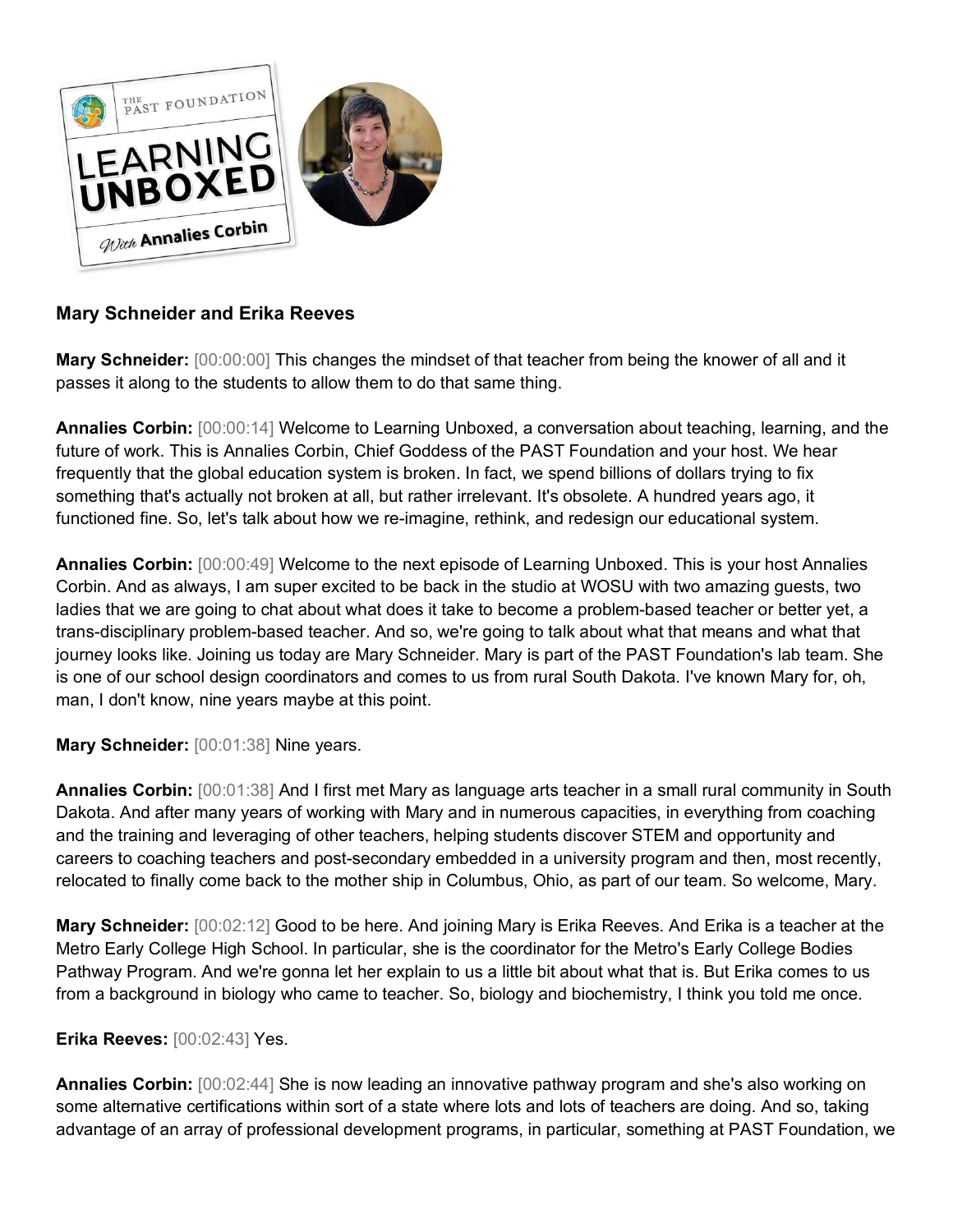

# **Mary Schneider and Erika Reeves**

**Mary Schneider:** [00:00:00] This changes the mindset of that teacher from being the knower of all and it passes it along to the students to allow them to do that same thing.

**Annalies Corbin:** [00:00:14] Welcome to Learning Unboxed, a conversation about teaching, learning, and the future of work. This is Annalies Corbin, Chief Goddess of the PAST Foundation and your host. We hear frequently that the global education system is broken. In fact, we spend billions of dollars trying to fix something that's actually not broken at all, but rather irrelevant. It's obsolete. A hundred years ago, it functioned fine. So, let's talk about how we re-imagine, rethink, and redesign our educational system.

**Annalies Corbin:** [00:00:49] Welcome to the next episode of Learning Unboxed. This is your host Annalies Corbin. And as always, I am super excited to be back in the studio at WOSU with two amazing guests, two ladies that we are going to chat about what does it take to become a problem-based teacher or better yet, a trans-disciplinary problem-based teacher. And so, we're going to talk about what that means and what that journey looks like. Joining us today are Mary Schneider. Mary is part of the PAST Foundation's lab team. She is one of our school design coordinators and comes to us from rural South Dakota. I've known Mary for, oh, man, I don't know, nine years maybe at this point.

**Mary Schneider:** [00:01:38] Nine years.

**Annalies Corbin:** [00:01:38] And I first met Mary as language arts teacher in a small rural community in South Dakota. And after many years of working with Mary and in numerous capacities, in everything from coaching and the training and leveraging of other teachers, helping students discover STEM and opportunity and careers to coaching teachers and post-secondary embedded in a university program and then, most recently, relocated to finally come back to the mother ship in Columbus, Ohio, as part of our team. So welcome, Mary.

**Mary Schneider:** [00:02:12] Good to be here. And joining Mary is Erika Reeves. And Erika is a teacher at the Metro Early College High School. In particular, she is the coordinator for the Metro's Early College Bodies Pathway Program. And we're gonna let her explain to us a little bit about what that is. But Erika comes to us from a background in biology who came to teacher. So, biology and biochemistry, I think you told me once.

## **Erika Reeves:** [00:02:43] Yes.

**Annalies Corbin:** [00:02:44] She is now leading an innovative pathway program and she's also working on some alternative certifications within sort of a state where lots and lots of teachers are doing. And so, taking advantage of an array of professional development programs, in particular, something at PAST Foundation, we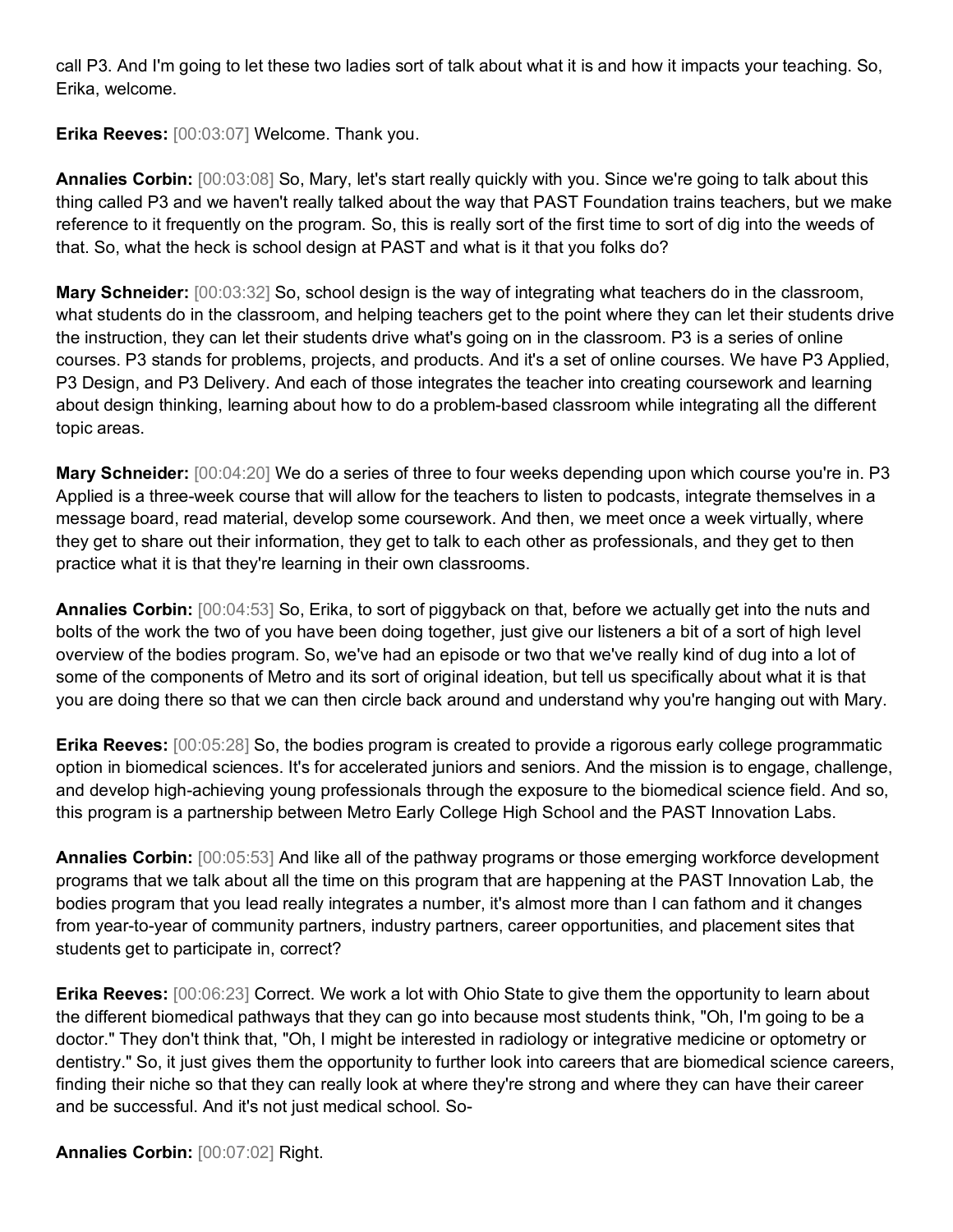call P3. And I'm going to let these two ladies sort of talk about what it is and how it impacts your teaching. So, Erika, welcome.

**Erika Reeves:** [00:03:07] Welcome. Thank you.

**Annalies Corbin:** [00:03:08] So, Mary, let's start really quickly with you. Since we're going to talk about this thing called P3 and we haven't really talked about the way that PAST Foundation trains teachers, but we make reference to it frequently on the program. So, this is really sort of the first time to sort of dig into the weeds of that. So, what the heck is school design at PAST and what is it that you folks do?

**Mary Schneider:** [00:03:32] So, school design is the way of integrating what teachers do in the classroom, what students do in the classroom, and helping teachers get to the point where they can let their students drive the instruction, they can let their students drive what's going on in the classroom. P3 is a series of online courses. P3 stands for problems, projects, and products. And it's a set of online courses. We have P3 Applied, P3 Design, and P3 Delivery. And each of those integrates the teacher into creating coursework and learning about design thinking, learning about how to do a problem-based classroom while integrating all the different topic areas.

**Mary Schneider:** [00:04:20] We do a series of three to four weeks depending upon which course you're in. P3 Applied is a three-week course that will allow for the teachers to listen to podcasts, integrate themselves in a message board, read material, develop some coursework. And then, we meet once a week virtually, where they get to share out their information, they get to talk to each other as professionals, and they get to then practice what it is that they're learning in their own classrooms.

**Annalies Corbin:** [00:04:53] So, Erika, to sort of piggyback on that, before we actually get into the nuts and bolts of the work the two of you have been doing together, just give our listeners a bit of a sort of high level overview of the bodies program. So, we've had an episode or two that we've really kind of dug into a lot of some of the components of Metro and its sort of original ideation, but tell us specifically about what it is that you are doing there so that we can then circle back around and understand why you're hanging out with Mary.

**Erika Reeves:** [00:05:28] So, the bodies program is created to provide a rigorous early college programmatic option in biomedical sciences. It's for accelerated juniors and seniors. And the mission is to engage, challenge, and develop high-achieving young professionals through the exposure to the biomedical science field. And so, this program is a partnership between Metro Early College High School and the PAST Innovation Labs.

**Annalies Corbin:** [00:05:53] And like all of the pathway programs or those emerging workforce development programs that we talk about all the time on this program that are happening at the PAST Innovation Lab, the bodies program that you lead really integrates a number, it's almost more than I can fathom and it changes from year-to-year of community partners, industry partners, career opportunities, and placement sites that students get to participate in, correct?

**Erika Reeves:** [00:06:23] Correct. We work a lot with Ohio State to give them the opportunity to learn about the different biomedical pathways that they can go into because most students think, "Oh, I'm going to be a doctor." They don't think that, "Oh, I might be interested in radiology or integrative medicine or optometry or dentistry." So, it just gives them the opportunity to further look into careers that are biomedical science careers, finding their niche so that they can really look at where they're strong and where they can have their career and be successful. And it's not just medical school. So-

**Annalies Corbin:** [00:07:02] Right.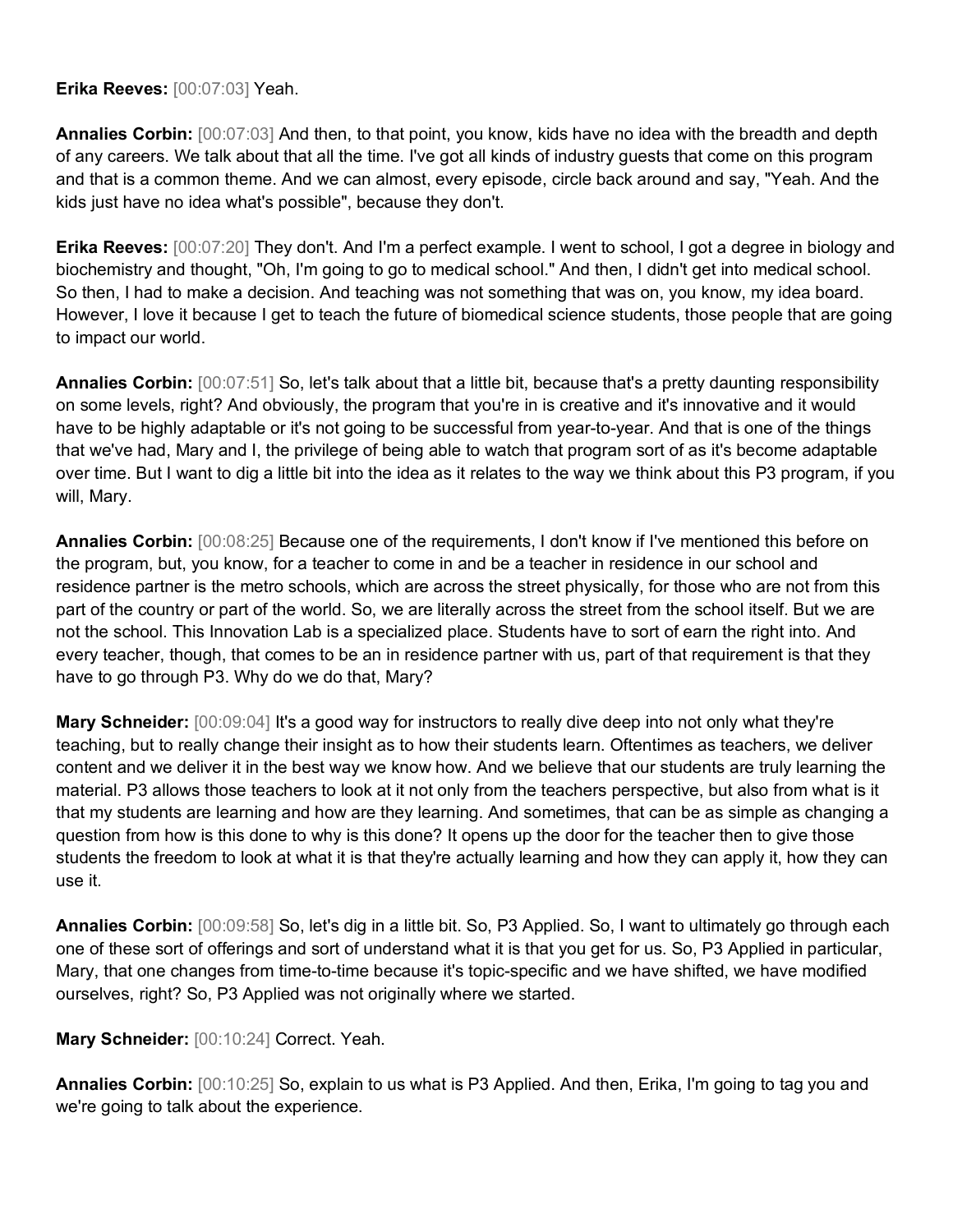**Erika Reeves:** [00:07:03] Yeah.

**Annalies Corbin:** [00:07:03] And then, to that point, you know, kids have no idea with the breadth and depth of any careers. We talk about that all the time. I've got all kinds of industry guests that come on this program and that is a common theme. And we can almost, every episode, circle back around and say, "Yeah. And the kids just have no idea what's possible", because they don't.

**Erika Reeves:** [00:07:20] They don't. And I'm a perfect example. I went to school, I got a degree in biology and biochemistry and thought, "Oh, I'm going to go to medical school." And then, I didn't get into medical school. So then, I had to make a decision. And teaching was not something that was on, you know, my idea board. However, I love it because I get to teach the future of biomedical science students, those people that are going to impact our world.

**Annalies Corbin:** [00:07:51] So, let's talk about that a little bit, because that's a pretty daunting responsibility on some levels, right? And obviously, the program that you're in is creative and it's innovative and it would have to be highly adaptable or it's not going to be successful from year-to-year. And that is one of the things that we've had, Mary and I, the privilege of being able to watch that program sort of as it's become adaptable over time. But I want to dig a little bit into the idea as it relates to the way we think about this P3 program, if you will, Mary.

**Annalies Corbin:** [00:08:25] Because one of the requirements, I don't know if I've mentioned this before on the program, but, you know, for a teacher to come in and be a teacher in residence in our school and residence partner is the metro schools, which are across the street physically, for those who are not from this part of the country or part of the world. So, we are literally across the street from the school itself. But we are not the school. This Innovation Lab is a specialized place. Students have to sort of earn the right into. And every teacher, though, that comes to be an in residence partner with us, part of that requirement is that they have to go through P3. Why do we do that, Mary?

**Mary Schneider:** [00:09:04] It's a good way for instructors to really dive deep into not only what they're teaching, but to really change their insight as to how their students learn. Oftentimes as teachers, we deliver content and we deliver it in the best way we know how. And we believe that our students are truly learning the material. P3 allows those teachers to look at it not only from the teachers perspective, but also from what is it that my students are learning and how are they learning. And sometimes, that can be as simple as changing a question from how is this done to why is this done? It opens up the door for the teacher then to give those students the freedom to look at what it is that they're actually learning and how they can apply it, how they can use it.

**Annalies Corbin:** [00:09:58] So, let's dig in a little bit. So, P3 Applied. So, I want to ultimately go through each one of these sort of offerings and sort of understand what it is that you get for us. So, P3 Applied in particular, Mary, that one changes from time-to-time because it's topic-specific and we have shifted, we have modified ourselves, right? So, P3 Applied was not originally where we started.

**Mary Schneider:** [00:10:24] Correct. Yeah.

**Annalies Corbin:** [00:10:25] So, explain to us what is P3 Applied. And then, Erika, I'm going to tag you and we're going to talk about the experience.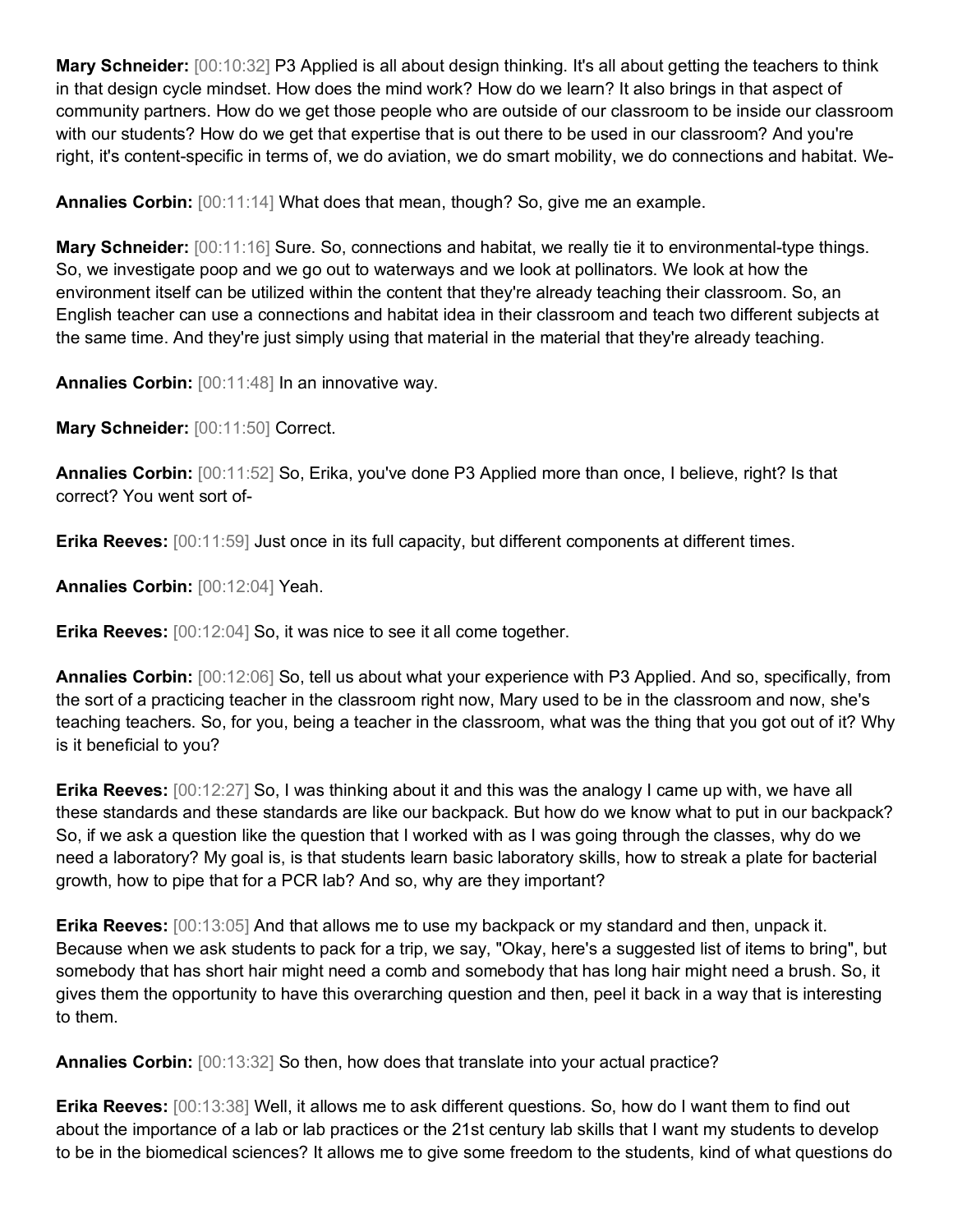**Mary Schneider:** [00:10:32] P3 Applied is all about design thinking. It's all about getting the teachers to think in that design cycle mindset. How does the mind work? How do we learn? It also brings in that aspect of community partners. How do we get those people who are outside of our classroom to be inside our classroom with our students? How do we get that expertise that is out there to be used in our classroom? And you're right, it's content-specific in terms of, we do aviation, we do smart mobility, we do connections and habitat. We-

**Annalies Corbin:** [00:11:14] What does that mean, though? So, give me an example.

**Mary Schneider:** [00:11:16] Sure. So, connections and habitat, we really tie it to environmental-type things. So, we investigate poop and we go out to waterways and we look at pollinators. We look at how the environment itself can be utilized within the content that they're already teaching their classroom. So, an English teacher can use a connections and habitat idea in their classroom and teach two different subjects at the same time. And they're just simply using that material in the material that they're already teaching.

**Annalies Corbin:** [00:11:48] In an innovative way.

**Mary Schneider:** [00:11:50] Correct.

**Annalies Corbin:** [00:11:52] So, Erika, you've done P3 Applied more than once, I believe, right? Is that correct? You went sort of-

**Erika Reeves:** [00:11:59] Just once in its full capacity, but different components at different times.

**Annalies Corbin:** [00:12:04] Yeah.

**Erika Reeves:** [00:12:04] So, it was nice to see it all come together.

**Annalies Corbin:** [00:12:06] So, tell us about what your experience with P3 Applied. And so, specifically, from the sort of a practicing teacher in the classroom right now, Mary used to be in the classroom and now, she's teaching teachers. So, for you, being a teacher in the classroom, what was the thing that you got out of it? Why is it beneficial to you?

**Erika Reeves:** [00:12:27] So, I was thinking about it and this was the analogy I came up with, we have all these standards and these standards are like our backpack. But how do we know what to put in our backpack? So, if we ask a question like the question that I worked with as I was going through the classes, why do we need a laboratory? My goal is, is that students learn basic laboratory skills, how to streak a plate for bacterial growth, how to pipe that for a PCR lab? And so, why are they important?

**Erika Reeves:** [00:13:05] And that allows me to use my backpack or my standard and then, unpack it. Because when we ask students to pack for a trip, we say, "Okay, here's a suggested list of items to bring", but somebody that has short hair might need a comb and somebody that has long hair might need a brush. So, it gives them the opportunity to have this overarching question and then, peel it back in a way that is interesting to them.

**Annalies Corbin:** [00:13:32] So then, how does that translate into your actual practice?

**Erika Reeves:** [00:13:38] Well, it allows me to ask different questions. So, how do I want them to find out about the importance of a lab or lab practices or the 21st century lab skills that I want my students to develop to be in the biomedical sciences? It allows me to give some freedom to the students, kind of what questions do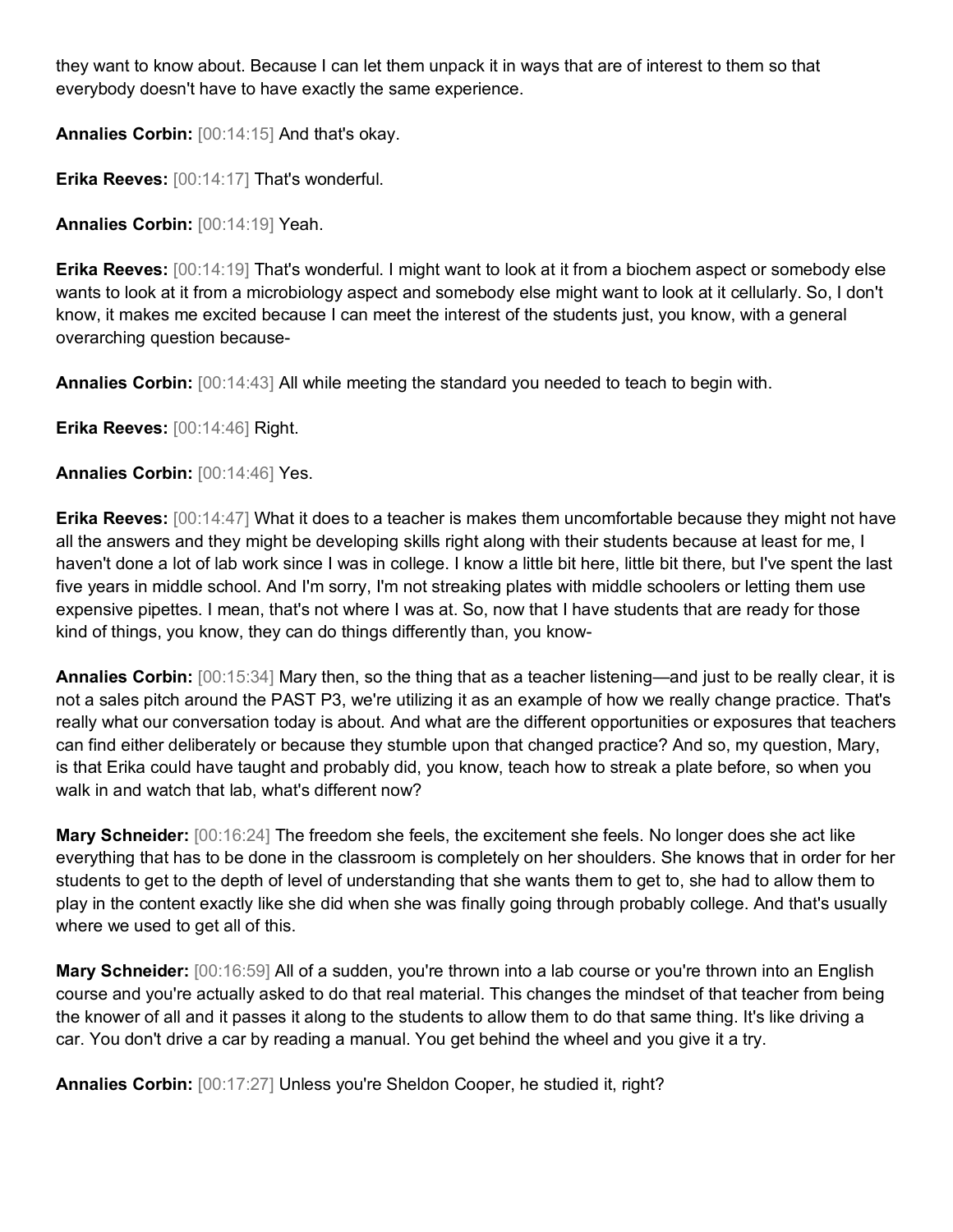they want to know about. Because I can let them unpack it in ways that are of interest to them so that everybody doesn't have to have exactly the same experience.

**Annalies Corbin:** [00:14:15] And that's okay.

**Erika Reeves:** [00:14:17] That's wonderful.

**Annalies Corbin:** [00:14:19] Yeah.

**Erika Reeves:** [00:14:19] That's wonderful. I might want to look at it from a biochem aspect or somebody else wants to look at it from a microbiology aspect and somebody else might want to look at it cellularly. So, I don't know, it makes me excited because I can meet the interest of the students just, you know, with a general overarching question because-

**Annalies Corbin:** [00:14:43] All while meeting the standard you needed to teach to begin with.

**Erika Reeves:** [00:14:46] Right.

**Annalies Corbin:** [00:14:46] Yes.

**Erika Reeves:** [00:14:47] What it does to a teacher is makes them uncomfortable because they might not have all the answers and they might be developing skills right along with their students because at least for me, I haven't done a lot of lab work since I was in college. I know a little bit here, little bit there, but I've spent the last five years in middle school. And I'm sorry, I'm not streaking plates with middle schoolers or letting them use expensive pipettes. I mean, that's not where I was at. So, now that I have students that are ready for those kind of things, you know, they can do things differently than, you know-

**Annalies Corbin:** [00:15:34] Mary then, so the thing that as a teacher listening—and just to be really clear, it is not a sales pitch around the PAST P3, we're utilizing it as an example of how we really change practice. That's really what our conversation today is about. And what are the different opportunities or exposures that teachers can find either deliberately or because they stumble upon that changed practice? And so, my question, Mary, is that Erika could have taught and probably did, you know, teach how to streak a plate before, so when you walk in and watch that lab, what's different now?

**Mary Schneider:** [00:16:24] The freedom she feels, the excitement she feels. No longer does she act like everything that has to be done in the classroom is completely on her shoulders. She knows that in order for her students to get to the depth of level of understanding that she wants them to get to, she had to allow them to play in the content exactly like she did when she was finally going through probably college. And that's usually where we used to get all of this.

**Mary Schneider:** [00:16:59] All of a sudden, you're thrown into a lab course or you're thrown into an English course and you're actually asked to do that real material. This changes the mindset of that teacher from being the knower of all and it passes it along to the students to allow them to do that same thing. It's like driving a car. You don't drive a car by reading a manual. You get behind the wheel and you give it a try.

**Annalies Corbin:** [00:17:27] Unless you're Sheldon Cooper, he studied it, right?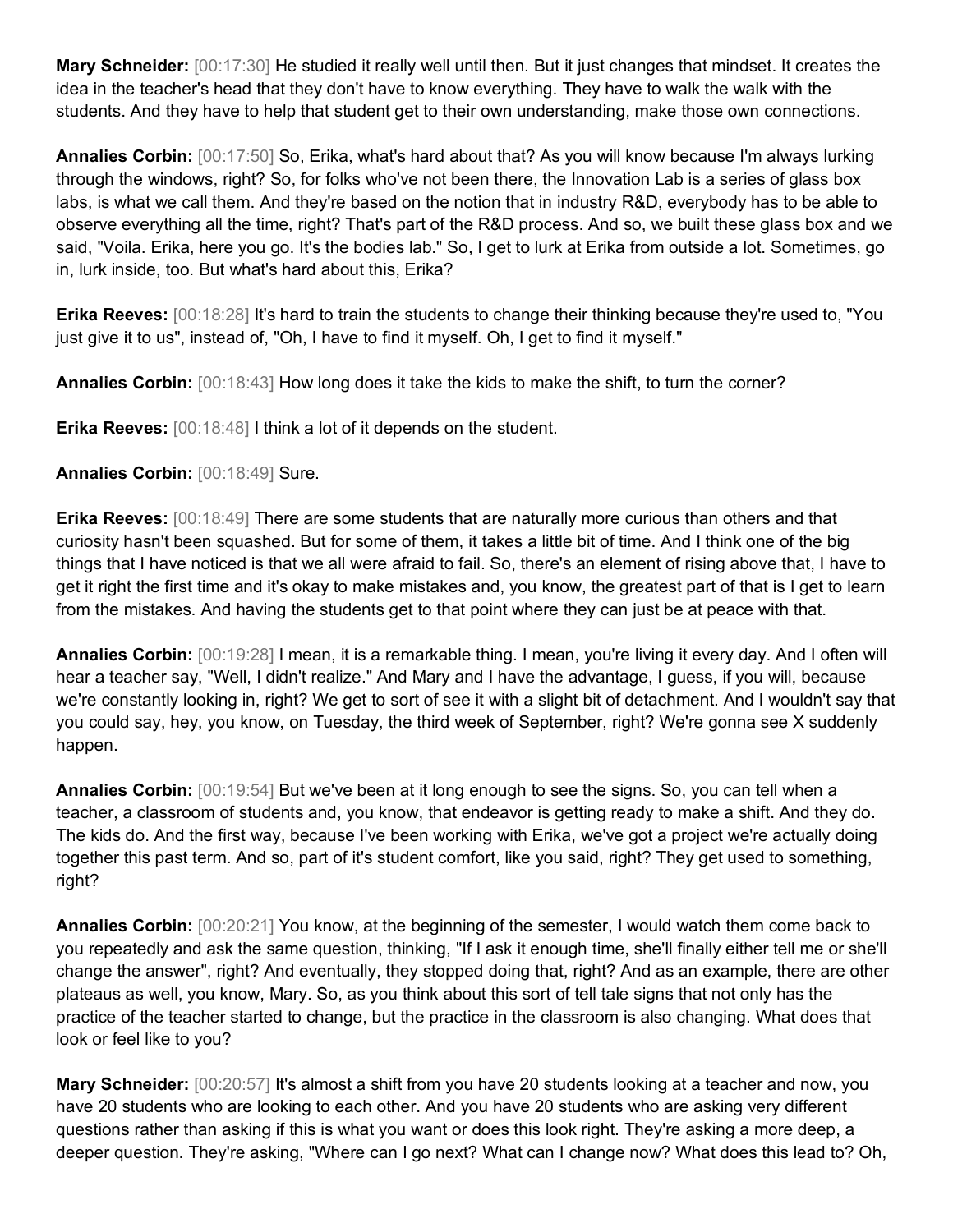**Mary Schneider:** [00:17:30] He studied it really well until then. But it just changes that mindset. It creates the idea in the teacher's head that they don't have to know everything. They have to walk the walk with the students. And they have to help that student get to their own understanding, make those own connections.

**Annalies Corbin:** [00:17:50] So, Erika, what's hard about that? As you will know because I'm always lurking through the windows, right? So, for folks who've not been there, the Innovation Lab is a series of glass box labs, is what we call them. And they're based on the notion that in industry R&D, everybody has to be able to observe everything all the time, right? That's part of the R&D process. And so, we built these glass box and we said, "Voila. Erika, here you go. It's the bodies lab." So, I get to lurk at Erika from outside a lot. Sometimes, go in, lurk inside, too. But what's hard about this, Erika?

**Erika Reeves:** [00:18:28] It's hard to train the students to change their thinking because they're used to, "You just give it to us", instead of, "Oh, I have to find it myself. Oh, I get to find it myself."

**Annalies Corbin:** [00:18:43] How long does it take the kids to make the shift, to turn the corner?

**Erika Reeves:** [00:18:48] I think a lot of it depends on the student.

**Annalies Corbin:** [00:18:49] Sure.

**Erika Reeves:** [00:18:49] There are some students that are naturally more curious than others and that curiosity hasn't been squashed. But for some of them, it takes a little bit of time. And I think one of the big things that I have noticed is that we all were afraid to fail. So, there's an element of rising above that, I have to get it right the first time and it's okay to make mistakes and, you know, the greatest part of that is I get to learn from the mistakes. And having the students get to that point where they can just be at peace with that.

**Annalies Corbin:** [00:19:28] I mean, it is a remarkable thing. I mean, you're living it every day. And I often will hear a teacher say, "Well, I didn't realize." And Mary and I have the advantage, I guess, if you will, because we're constantly looking in, right? We get to sort of see it with a slight bit of detachment. And I wouldn't say that you could say, hey, you know, on Tuesday, the third week of September, right? We're gonna see X suddenly happen.

**Annalies Corbin:** [00:19:54] But we've been at it long enough to see the signs. So, you can tell when a teacher, a classroom of students and, you know, that endeavor is getting ready to make a shift. And they do. The kids do. And the first way, because I've been working with Erika, we've got a project we're actually doing together this past term. And so, part of it's student comfort, like you said, right? They get used to something, right?

**Annalies Corbin:** [00:20:21] You know, at the beginning of the semester, I would watch them come back to you repeatedly and ask the same question, thinking, "If I ask it enough time, she'll finally either tell me or she'll change the answer", right? And eventually, they stopped doing that, right? And as an example, there are other plateaus as well, you know, Mary. So, as you think about this sort of tell tale signs that not only has the practice of the teacher started to change, but the practice in the classroom is also changing. What does that look or feel like to you?

**Mary Schneider:** [00:20:57] It's almost a shift from you have 20 students looking at a teacher and now, you have 20 students who are looking to each other. And you have 20 students who are asking very different questions rather than asking if this is what you want or does this look right. They're asking a more deep, a deeper question. They're asking, "Where can I go next? What can I change now? What does this lead to? Oh,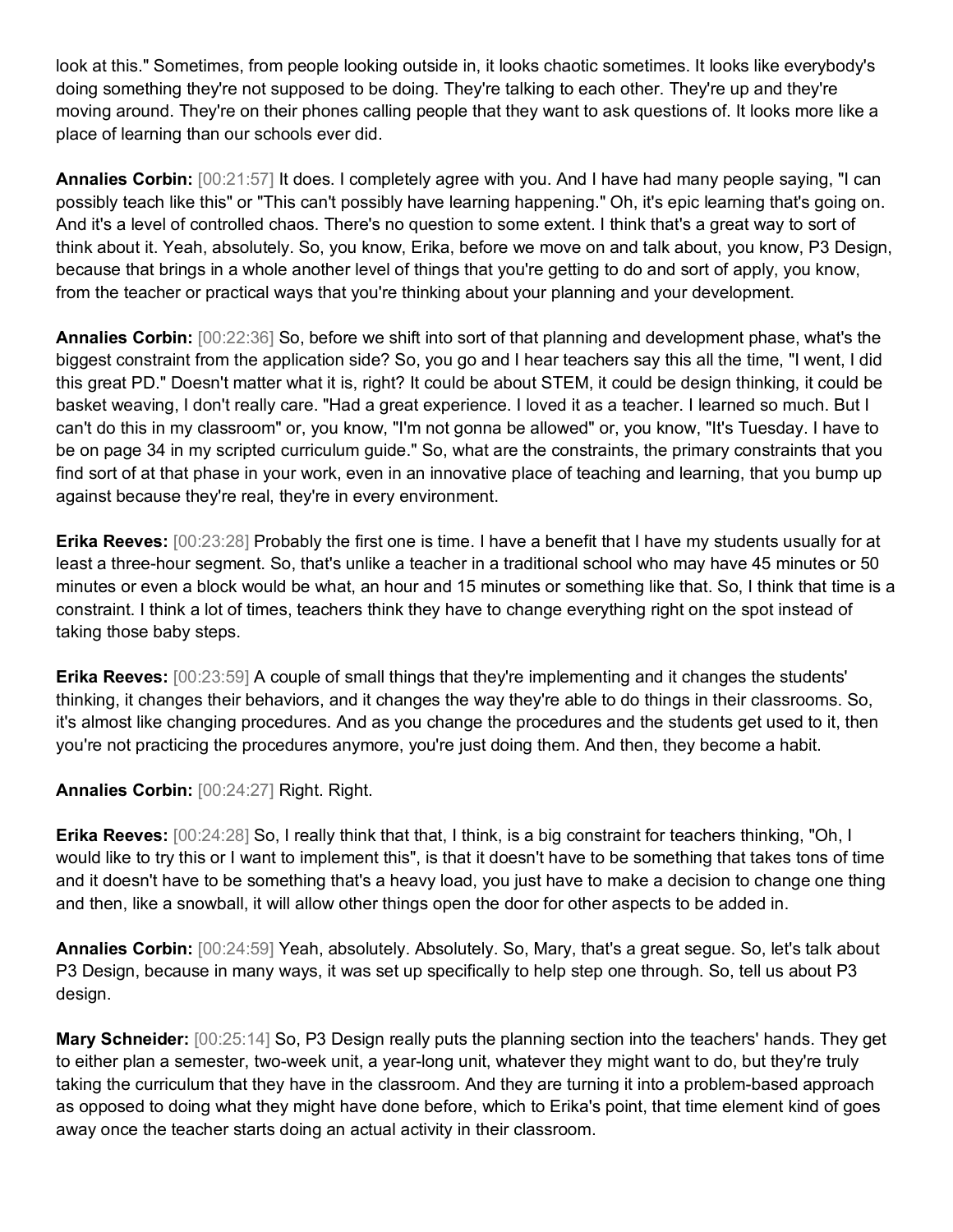look at this." Sometimes, from people looking outside in, it looks chaotic sometimes. It looks like everybody's doing something they're not supposed to be doing. They're talking to each other. They're up and they're moving around. They're on their phones calling people that they want to ask questions of. It looks more like a place of learning than our schools ever did.

**Annalies Corbin:** [00:21:57] It does. I completely agree with you. And I have had many people saying, "I can possibly teach like this" or "This can't possibly have learning happening." Oh, it's epic learning that's going on. And it's a level of controlled chaos. There's no question to some extent. I think that's a great way to sort of think about it. Yeah, absolutely. So, you know, Erika, before we move on and talk about, you know, P3 Design, because that brings in a whole another level of things that you're getting to do and sort of apply, you know, from the teacher or practical ways that you're thinking about your planning and your development.

**Annalies Corbin:** [00:22:36] So, before we shift into sort of that planning and development phase, what's the biggest constraint from the application side? So, you go and I hear teachers say this all the time, "I went, I did this great PD." Doesn't matter what it is, right? It could be about STEM, it could be design thinking, it could be basket weaving, I don't really care. "Had a great experience. I loved it as a teacher. I learned so much. But I can't do this in my classroom" or, you know, "I'm not gonna be allowed" or, you know, "It's Tuesday. I have to be on page 34 in my scripted curriculum guide." So, what are the constraints, the primary constraints that you find sort of at that phase in your work, even in an innovative place of teaching and learning, that you bump up against because they're real, they're in every environment.

**Erika Reeves:** [00:23:28] Probably the first one is time. I have a benefit that I have my students usually for at least a three-hour segment. So, that's unlike a teacher in a traditional school who may have 45 minutes or 50 minutes or even a block would be what, an hour and 15 minutes or something like that. So, I think that time is a constraint. I think a lot of times, teachers think they have to change everything right on the spot instead of taking those baby steps.

**Erika Reeves:** [00:23:59] A couple of small things that they're implementing and it changes the students' thinking, it changes their behaviors, and it changes the way they're able to do things in their classrooms. So, it's almost like changing procedures. And as you change the procedures and the students get used to it, then you're not practicing the procedures anymore, you're just doing them. And then, they become a habit.

**Annalies Corbin:** [00:24:27] Right. Right.

**Erika Reeves:** [00:24:28] So, I really think that that, I think, is a big constraint for teachers thinking, "Oh, I would like to try this or I want to implement this", is that it doesn't have to be something that takes tons of time and it doesn't have to be something that's a heavy load, you just have to make a decision to change one thing and then, like a snowball, it will allow other things open the door for other aspects to be added in.

**Annalies Corbin:** [00:24:59] Yeah, absolutely. Absolutely. So, Mary, that's a great segue. So, let's talk about P3 Design, because in many ways, it was set up specifically to help step one through. So, tell us about P3 design.

**Mary Schneider:** [00:25:14] So, P3 Design really puts the planning section into the teachers' hands. They get to either plan a semester, two-week unit, a year-long unit, whatever they might want to do, but they're truly taking the curriculum that they have in the classroom. And they are turning it into a problem-based approach as opposed to doing what they might have done before, which to Erika's point, that time element kind of goes away once the teacher starts doing an actual activity in their classroom.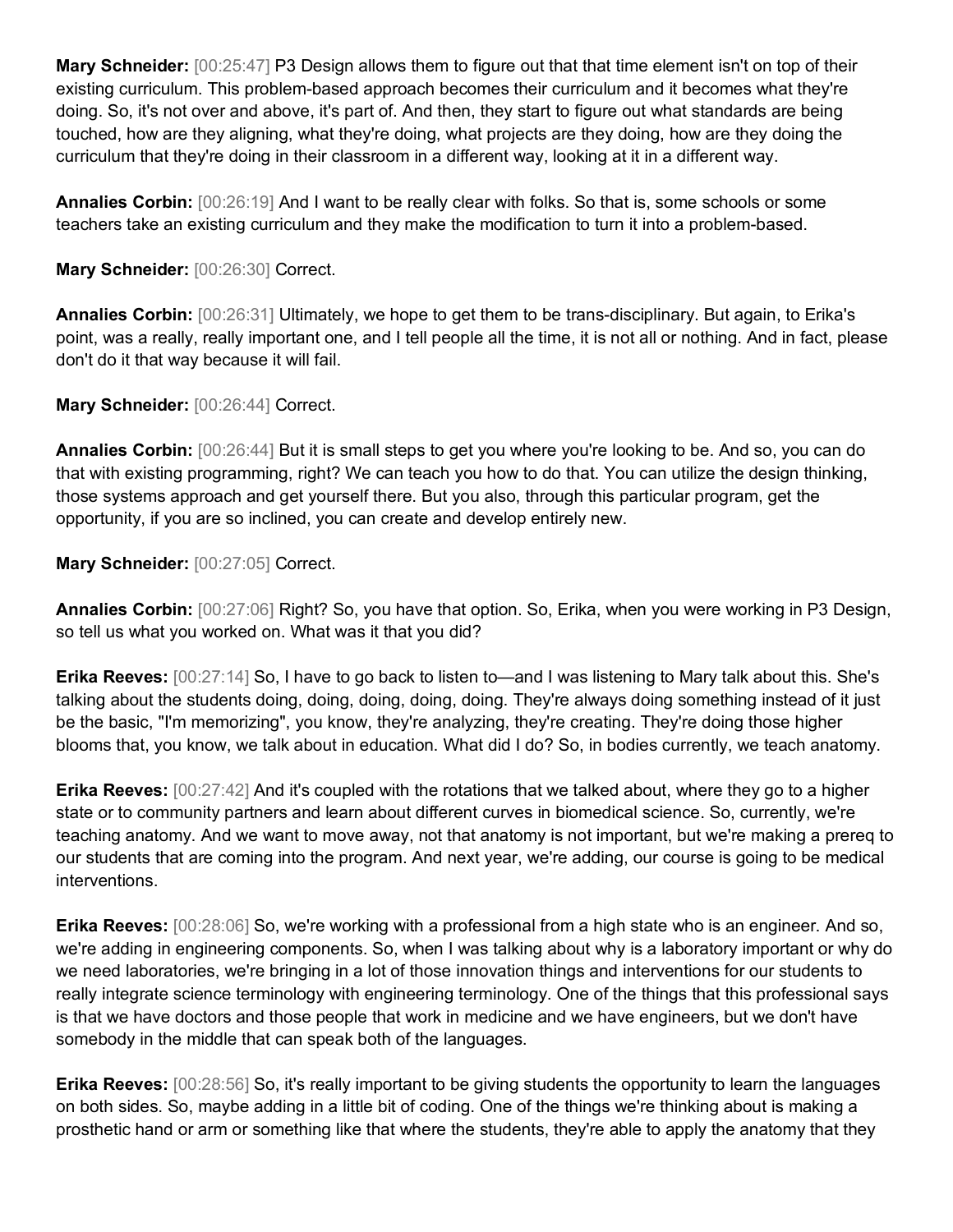**Mary Schneider:** [00:25:47] P3 Design allows them to figure out that that time element isn't on top of their existing curriculum. This problem-based approach becomes their curriculum and it becomes what they're doing. So, it's not over and above, it's part of. And then, they start to figure out what standards are being touched, how are they aligning, what they're doing, what projects are they doing, how are they doing the curriculum that they're doing in their classroom in a different way, looking at it in a different way.

**Annalies Corbin:** [00:26:19] And I want to be really clear with folks. So that is, some schools or some teachers take an existing curriculum and they make the modification to turn it into a problem-based.

### **Mary Schneider:** [00:26:30] Correct.

**Annalies Corbin:** [00:26:31] Ultimately, we hope to get them to be trans-disciplinary. But again, to Erika's point, was a really, really important one, and I tell people all the time, it is not all or nothing. And in fact, please don't do it that way because it will fail.

## **Mary Schneider:** [00:26:44] Correct.

**Annalies Corbin:** [00:26:44] But it is small steps to get you where you're looking to be. And so, you can do that with existing programming, right? We can teach you how to do that. You can utilize the design thinking, those systems approach and get yourself there. But you also, through this particular program, get the opportunity, if you are so inclined, you can create and develop entirely new.

#### **Mary Schneider:** [00:27:05] Correct.

**Annalies Corbin:** [00:27:06] Right? So, you have that option. So, Erika, when you were working in P3 Design, so tell us what you worked on. What was it that you did?

**Erika Reeves:** [00:27:14] So, I have to go back to listen to—and I was listening to Mary talk about this. She's talking about the students doing, doing, doing, doing, doing. They're always doing something instead of it just be the basic, "I'm memorizing", you know, they're analyzing, they're creating. They're doing those higher blooms that, you know, we talk about in education. What did I do? So, in bodies currently, we teach anatomy.

**Erika Reeves:** [00:27:42] And it's coupled with the rotations that we talked about, where they go to a higher state or to community partners and learn about different curves in biomedical science. So, currently, we're teaching anatomy. And we want to move away, not that anatomy is not important, but we're making a prereq to our students that are coming into the program. And next year, we're adding, our course is going to be medical interventions.

**Erika Reeves:** [00:28:06] So, we're working with a professional from a high state who is an engineer. And so, we're adding in engineering components. So, when I was talking about why is a laboratory important or why do we need laboratories, we're bringing in a lot of those innovation things and interventions for our students to really integrate science terminology with engineering terminology. One of the things that this professional says is that we have doctors and those people that work in medicine and we have engineers, but we don't have somebody in the middle that can speak both of the languages.

**Erika Reeves:** [00:28:56] So, it's really important to be giving students the opportunity to learn the languages on both sides. So, maybe adding in a little bit of coding. One of the things we're thinking about is making a prosthetic hand or arm or something like that where the students, they're able to apply the anatomy that they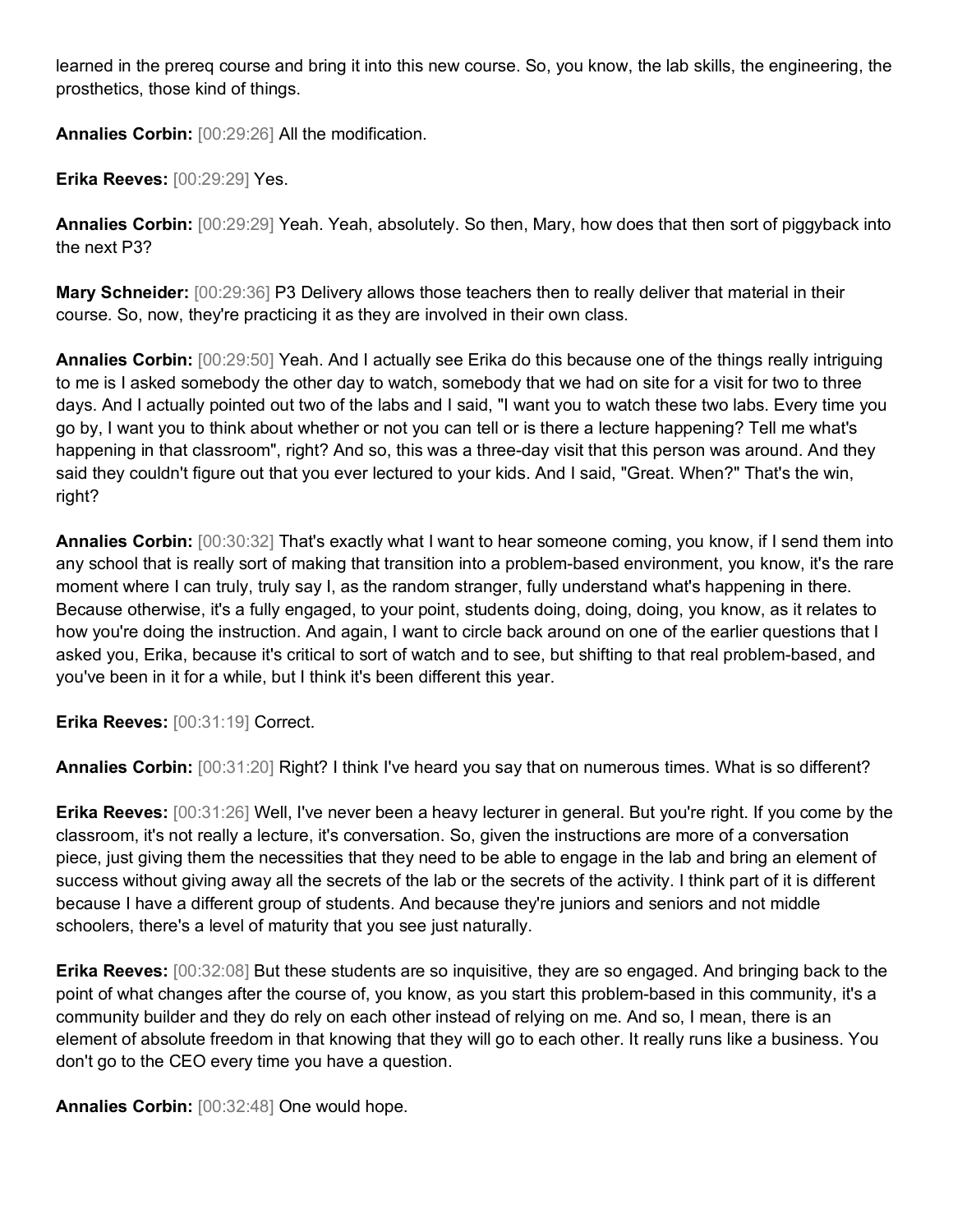learned in the prereq course and bring it into this new course. So, you know, the lab skills, the engineering, the prosthetics, those kind of things.

**Annalies Corbin:** [00:29:26] All the modification.

**Erika Reeves:** [00:29:29] Yes.

**Annalies Corbin:** [00:29:29] Yeah. Yeah, absolutely. So then, Mary, how does that then sort of piggyback into the next P3?

**Mary Schneider:** [00:29:36] P3 Delivery allows those teachers then to really deliver that material in their course. So, now, they're practicing it as they are involved in their own class.

**Annalies Corbin:** [00:29:50] Yeah. And I actually see Erika do this because one of the things really intriguing to me is I asked somebody the other day to watch, somebody that we had on site for a visit for two to three days. And I actually pointed out two of the labs and I said, "I want you to watch these two labs. Every time you go by, I want you to think about whether or not you can tell or is there a lecture happening? Tell me what's happening in that classroom", right? And so, this was a three-day visit that this person was around. And they said they couldn't figure out that you ever lectured to your kids. And I said, "Great. When?" That's the win, right?

**Annalies Corbin:** [00:30:32] That's exactly what I want to hear someone coming, you know, if I send them into any school that is really sort of making that transition into a problem-based environment, you know, it's the rare moment where I can truly, truly say I, as the random stranger, fully understand what's happening in there. Because otherwise, it's a fully engaged, to your point, students doing, doing, doing, you know, as it relates to how you're doing the instruction. And again, I want to circle back around on one of the earlier questions that I asked you, Erika, because it's critical to sort of watch and to see, but shifting to that real problem-based, and you've been in it for a while, but I think it's been different this year.

**Erika Reeves:** [00:31:19] Correct.

**Annalies Corbin:** [00:31:20] Right? I think I've heard you say that on numerous times. What is so different?

**Erika Reeves:** [00:31:26] Well, I've never been a heavy lecturer in general. But you're right. If you come by the classroom, it's not really a lecture, it's conversation. So, given the instructions are more of a conversation piece, just giving them the necessities that they need to be able to engage in the lab and bring an element of success without giving away all the secrets of the lab or the secrets of the activity. I think part of it is different because I have a different group of students. And because they're juniors and seniors and not middle schoolers, there's a level of maturity that you see just naturally.

**Erika Reeves:** [00:32:08] But these students are so inquisitive, they are so engaged. And bringing back to the point of what changes after the course of, you know, as you start this problem-based in this community, it's a community builder and they do rely on each other instead of relying on me. And so, I mean, there is an element of absolute freedom in that knowing that they will go to each other. It really runs like a business. You don't go to the CEO every time you have a question.

**Annalies Corbin:** [00:32:48] One would hope.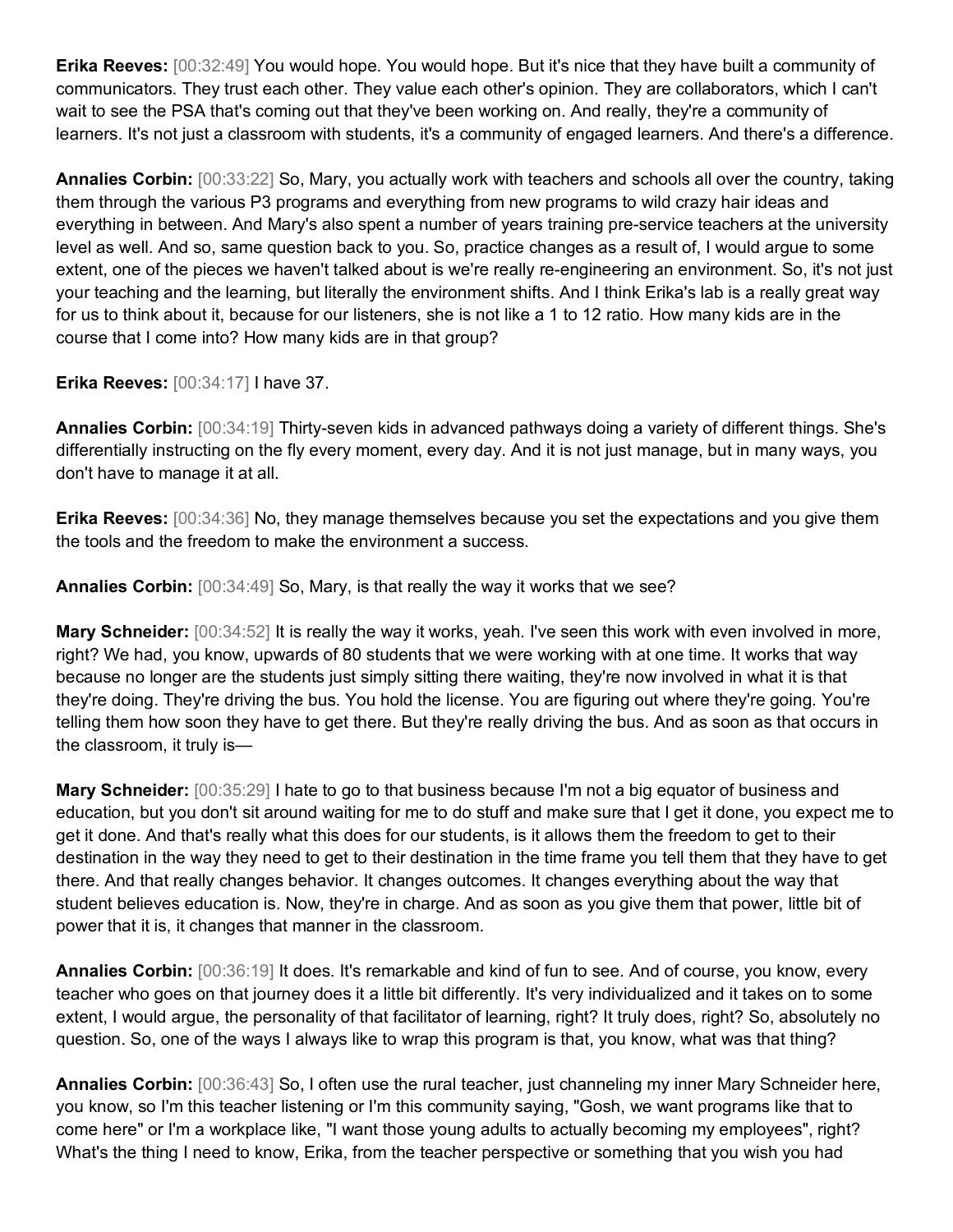**Erika Reeves:** [00:32:49] You would hope. You would hope. But it's nice that they have built a community of communicators. They trust each other. They value each other's opinion. They are collaborators, which I can't wait to see the PSA that's coming out that they've been working on. And really, they're a community of learners. It's not just a classroom with students, it's a community of engaged learners. And there's a difference.

**Annalies Corbin:** [00:33:22] So, Mary, you actually work with teachers and schools all over the country, taking them through the various P3 programs and everything from new programs to wild crazy hair ideas and everything in between. And Mary's also spent a number of years training pre-service teachers at the university level as well. And so, same question back to you. So, practice changes as a result of, I would argue to some extent, one of the pieces we haven't talked about is we're really re-engineering an environment. So, it's not just your teaching and the learning, but literally the environment shifts. And I think Erika's lab is a really great way for us to think about it, because for our listeners, she is not like a 1 to 12 ratio. How many kids are in the course that I come into? How many kids are in that group?

**Erika Reeves:** [00:34:17] I have 37.

**Annalies Corbin:** [00:34:19] Thirty-seven kids in advanced pathways doing a variety of different things. She's differentially instructing on the fly every moment, every day. And it is not just manage, but in many ways, you don't have to manage it at all.

**Erika Reeves:** [00:34:36] No, they manage themselves because you set the expectations and you give them the tools and the freedom to make the environment a success.

**Annalies Corbin:** [00:34:49] So, Mary, is that really the way it works that we see?

**Mary Schneider:** [00:34:52] It is really the way it works, yeah. I've seen this work with even involved in more, right? We had, you know, upwards of 80 students that we were working with at one time. It works that way because no longer are the students just simply sitting there waiting, they're now involved in what it is that they're doing. They're driving the bus. You hold the license. You are figuring out where they're going. You're telling them how soon they have to get there. But they're really driving the bus. And as soon as that occurs in the classroom, it truly is—

**Mary Schneider:** [00:35:29] I hate to go to that business because I'm not a big equator of business and education, but you don't sit around waiting for me to do stuff and make sure that I get it done, you expect me to get it done. And that's really what this does for our students, is it allows them the freedom to get to their destination in the way they need to get to their destination in the time frame you tell them that they have to get there. And that really changes behavior. It changes outcomes. It changes everything about the way that student believes education is. Now, they're in charge. And as soon as you give them that power, little bit of power that it is, it changes that manner in the classroom.

**Annalies Corbin:** [00:36:19] It does. It's remarkable and kind of fun to see. And of course, you know, every teacher who goes on that journey does it a little bit differently. It's very individualized and it takes on to some extent, I would argue, the personality of that facilitator of learning, right? It truly does, right? So, absolutely no question. So, one of the ways I always like to wrap this program is that, you know, what was that thing?

**Annalies Corbin:** [00:36:43] So, I often use the rural teacher, just channeling my inner Mary Schneider here, you know, so I'm this teacher listening or I'm this community saying, "Gosh, we want programs like that to come here" or I'm a workplace like, "I want those young adults to actually becoming my employees", right? What's the thing I need to know, Erika, from the teacher perspective or something that you wish you had